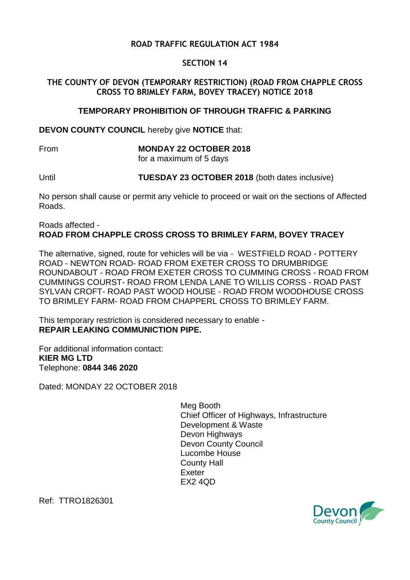## **ROAD TRAFFIC REGULATION ACT 1984**

## **SECTION 14**

## **THE COUNTY OF DEVON (TEMPORARY RESTRICTION) (ROAD FROM CHAPPLE CROSS CROSS TO BRIMLEY FARM, BOVEY TRACEY) NOTICE 2018**

#### **TEMPORARY PROHIBITION OF THROUGH TRAFFIC & PARKING**

**DEVON COUNTY COUNCIL** hereby give **NOTICE** that:

# From **MONDAY 22 OCTOBER 2018**

for a maximum of 5 days

Until **TUESDAY 23 OCTOBER 2018** (both dates inclusive)

No person shall cause or permit any vehicle to proceed or wait on the sections of Affected Roads.

#### Roads affected - **ROAD FROM CHAPPLE CROSS CROSS TO BRIMLEY FARM, BOVEY TRACEY**

The alternative, signed, route for vehicles will be via - WESTFIELD ROAD - POTTERY ROAD - NEWTON ROAD- ROAD FROM EXETER CROSS TO DRUMBRIDGE ROUNDABOUT - ROAD FROM EXETER CROSS TO CUMMING CROSS - ROAD FROM CUMMINGS COURST- ROAD FROM LENDA LANE TO WILLIS CORSS - ROAD PAST SYLVAN CROFT- ROAD PAST WOOD HOUSE - ROAD FROM WOODHOUSE CROSS TO BRIMLEY FARM- ROAD FROM CHAPPERL CROSS TO BRIMLEY FARM.

This temporary restriction is considered necessary to enable - **REPAIR LEAKING COMMUNICTION PIPE.**

For additional information contact: **KIER MG LTD** Telephone: **0844 346 2020**

Dated: MONDAY 22 OCTOBER 2018

Meg Booth Chief Officer of Highways, Infrastructure Development & Waste Devon Highways Devon County Council Lucombe House County Hall Exeter EX2 4QD



Ref: TTRO1826301